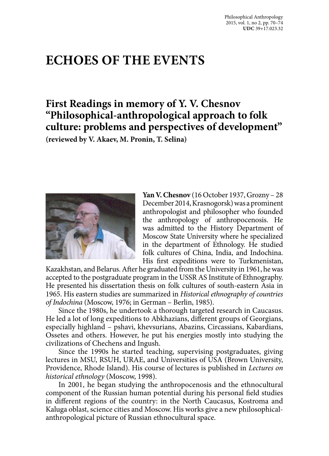# **ECHOES OF THE EVENTS**

# **First Readings in memory of Y. V. Chesnov "Philosophical-anthropological approach to folk culture: problems and perspectives of development"**

**(reviewed by V. Akaev, M. Pronin, T. Selina)**



**Yan V. Chesnov** (16 October 1937, Grozny – 28 December 2014, Krasnogorsk) was a prominent anthropologist and philosopher who founded the anthropology of anthropocenosis. He was admitted to the History Department of Moscow State University where he specialized in the department of Ethnology. He studied folk cultures of China, India, and Indochina. His first expeditions were to Turkmenistan,

Kazakhstan, and Belarus. After he graduated from the University in 1961, he was accepted to the postgraduate program in the USSR AS Institute of Ethnography. He presented his dissertation thesis on folk cultures of south-eastern Asia in 1965. His eastern studies are summarized in *Historical ethnography of countries of Indochina* (Moscow, 1976; in German – Berlin, 1985).

Since the 1980s, he undertook a thorough targeted research in Caucasus. He led a lot of long expeditions to Abkhazians, different groups of Georgians, especially highland – pshavi, khevsurians, Abazins, Circassians, Kabardians, Ossetes and others. However, he put his energies mostly into studying the civilizations of Chechens and Ingush.

Since the 1990s he started teaching, supervising postgraduates, giving lectures in MSU, RSUH, URAE, and Universities of USA (Brown University, Providence, Rhode Island). His course of lectures is published in *Lectures on historical ethnology* (Moscow, 1998).

In 2001, he began studying the anthropocenosis and the ethnocultural component of the Russian human potential during his personal field studies in different regions of the country: in the North Caucasus, Kostroma and Kaluga oblast, science cities and Moscow. His works give a new philosophicalanthropological picture of Russian ethnocultural space.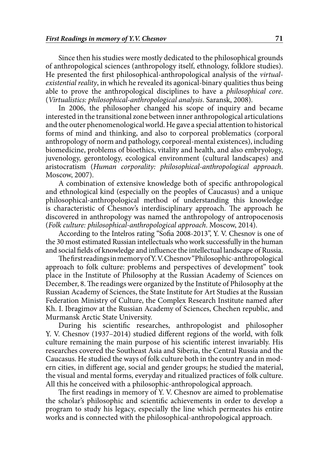Since then his studies were mostly dedicated to the philosophical grounds of anthropological sciences (anthropology itself, ethnology, folklore studies). He presented the first philosophical-anthropological analysis of the *virtualexistential reality*, in which he revealed its agonical-binary qualities thus being able to prove the anthropological disciplines to have a *philosophical core*. (*Virtualistics: philosophical-anthropological analysis*. Saransk, 2008).

In 2006, the philosopher changed his scope of inquiry and became interested in the transitional zone between inner anthropological articulations and the outer phenomenological world. He gave a special attention to historical forms of mind and thinking, and also to corporeal problematics (corporal anthropology of norm and pathology, corporeal-mental existences), including biomedicine, problems of bioethics, vitality and health, and also embryology, juvenology, gerontology, ecological environment (cultural landscapes) and aristocratism (*Human corporality: philosophical-anthropological approach*. Moscow, 2007).

A combination of extensive knowledge both of specific anthropological and ethnological kind (especially on the peoples of Caucasus) and a unique philosophical-anthropological method of understanding this knowledge is characteristic of Chesnov's interdisciplinary approach. The approach he discovered in anthropology was named the anthropology of antropocenosis (*Folk culture: philosophical-anthropological approach*. Moscow, 2014).

According to the Intelros rating "Sofia 2008-2013", Y. V. Chesnov is one of the 30 most estimated Russian intellectuals who work successfully in the human and social fields of knowledge and influence the intellectual landscape of Russia.

The first readings in memory of Y. V. Chesnov "Philosophic-anthropological approach to folk culture: problems and perspectives of development" took place in the Institute of Philosophy at the Russian Academy of Sciences on December, 8. The readings were organized by the Institute of Philosophy at the Russian Academy of Sciences, the State Institute for Art Studies at the Russian Federation Ministry of Culture, the Complex Research Institute named after Kh. I. Ibragimov at the Russian Academy of Sciences, Chechen republic, and Murmansk Arctic State University.

During his scientific researches, anthropologist and philosopher Y. V. Chesnov (1937–2014) studied different regions of the world, with folk culture remaining the main purpose of his scientific interest invariably. His researches covered the Southeast Asia and Siberia, the Central Russia and the Caucasus. He studied the ways of folk culture both in the country and in modern cities, in different age, social and gender groups; he studied the material, the visual and mental forms, everyday and ritualized practices of folk culture. All this he conceived with a philosophic-anthropological approach.

The first readings in memory of Y. V. Chesnov are aimed to problematise the scholar's philosophic and scientific achievements in order to develop a program to study his legacy, especially the line which permeates his entire works and is connected with the philosophical-anthropological approach.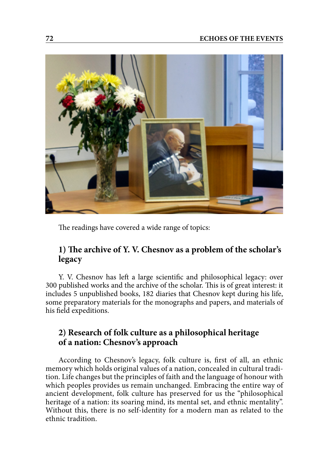

The readings have covered a wide range of topics:

# **1) The archive of Y. V. Chesnov as a problem of the scholar's legacy**

Y. V. Chesnov has left a large scientific and philosophical legacy: over 300 published works and the archive of the scholar. This is of great interest: it includes 5 unpublished books, 182 diaries that Chesnov kept during his life, some preparatory materials for the monographs and papers, and materials of his field expeditions.

### **2) Research of folk culture as a philosophical heritage of a nation: Chesnov's approach**

According to Chesnov's legacy, folk culture is, first of all, an ethnic memory which holds original values of a nation, concealed in cultural tradition. Life changes but the principles of faith and the language of honour with which peoples provides us remain unchanged. Embracing the entire way of ancient development, folk culture has preserved for us the "philosophical heritage of a nation: its soaring mind, its mental set, and ethnic mentality". Without this, there is no self-identity for a modern man as related to the ethnic tradition.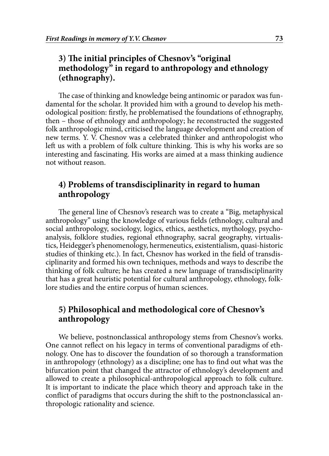# **3) The initial principles of Chesnov's "original methodology" in regard to anthropology and ethnology (ethnography).**

The case of thinking and knowledge being antinomic or paradox was fundamental for the scholar. It provided him with a ground to develop his methodological position: firstly, he problematised the foundations of ethnography, then – those of ethnology and anthropology; he reconstructed the suggested folk anthropologic mind, criticised the language development and creation of new terms. Y. V. Chesnov was a celebrated thinker and anthropologist who left us with a problem of folk culture thinking. This is why his works are so interesting and fascinating. His works are aimed at a mass thinking audience not without reason.

### **4) Problems of transdisciplinarity in regard to human anthropology**

The general line of Chesnov's research was to create a "Big, metaphysical anthropology" using the knowledge of various fields (ethnology, cultural and social anthropology, sociology, logics, ethics, aesthetics, mythology, psychoanalysis, folklore studies, regional ethnography, sacral geography, virtualistics, Heidegger's phenomenology, hermeneutics, existentialism, quasi-historic studies of thinking etc.). In fact, Chesnov has worked in the field of transdisciplinarity and formed his own techniques, methods and ways to describe the thinking of folk culture; he has created a new language of transdisciplinarity that has a great heuristic potential for cultural anthropology, ethnology, folklore studies and the entire corpus of human sciences.

# **5) Philosophical and methodological core of Chesnov's anthropology**

We believe, postnonclassical anthropology stems from Chesnov's works. One cannot reflect on his legacy in terms of conventional paradigms of ethnology. One has to discover the foundation of so thorough a transformation in anthropology (ethnology) as a discipline; one has to find out what was the bifurcation point that changed the attractor of ethnology's development and allowed to create a philosophical-anthropological approach to folk culture. It is important to indicate the place which theory and approach take in the conflict of paradigms that occurs during the shift to the postnonclassical anthropologic rationality and science.